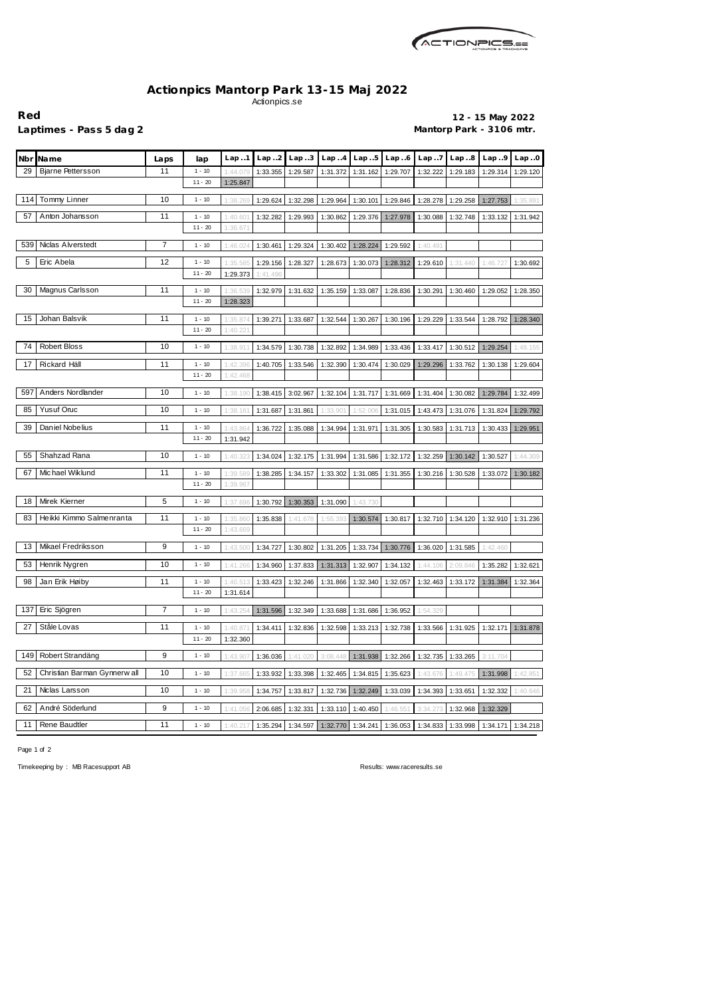

## **Actionpics Mantorp Park 13-15 Maj 2022** Actionpics.se

**Red 12 - 15 May 2022** Laptimes - Pass 5 dag 2 **Mantorp Park - 3106 mtr.** 

| <b>Nbr</b> | <b>Name</b>                  | Laps           | lap                   | Lap.1                | Lap. .2  | Lap.3    | Lap.4    | Lap.5    | Lap.6    | Lap. .7  | Lap.8    | Lap.9    | Lap.0    |
|------------|------------------------------|----------------|-----------------------|----------------------|----------|----------|----------|----------|----------|----------|----------|----------|----------|
| 29         | <b>Bjarne Pettersson</b>     | 11             | $1 - 10$              | 1:44.07              | 1:33.355 | 1:29.587 | 1:31.372 | 1:31.162 | 1:29.707 | 1:32.222 | 1:29.183 | 1:29.314 | 1:29.120 |
|            |                              |                | $11 - 20$             | 1:25.847             |          |          |          |          |          |          |          |          |          |
| 114        | Tommy Linner                 | 10             | $1 - 10$              | 1:38.269             | 1:29.624 | 1:32.298 | 1:29.964 | 1:30.101 | 1:29.846 | 1:28.278 | 1:29.258 | 1:27.753 | 1:35.891 |
| 57         | Anton Johansson              | 11             | $1 - 10$              | 1:40.60              | 1:32.282 | 1:29.993 | 1:30.862 | 1:29.376 | 1:27.978 | 1:30.088 | 1:32.748 | 1:33.132 | 1:31.942 |
|            |                              |                | $11 - 20$             | 1:36.67              |          |          |          |          |          |          |          |          |          |
| 539        | Niclas Alverstedt            | 7              | $1 - 10$              | 1:46.02              | 1:30.461 | 1:29.324 | 1:30.402 | 1:28.224 | 1:29.592 | 1:40.491 |          |          |          |
| 5          | Eric Abela                   | 12             | $1 - 10$              | 1:35.58              | 1:29.156 | 1:28.327 | 1:28.673 | 1:30.073 | 1:28.312 | 1:29.610 | 1:31.440 | 1:46.727 | 1:30.692 |
|            |                              |                | $11 - 20$             | 1:29.373             | 1:41.496 |          |          |          |          |          |          |          |          |
| 30         | Magnus Carlsson              | 11             | $1 - 10$              | 1:36.539             | 1:32.979 | 1:31.632 | 1:35.159 | 1:33.087 | 1:28.836 | 1:30.291 | 1:30.460 | 1:29.052 | 1:28.350 |
|            |                              |                | $11 - 20$             | 1:28.323             |          |          |          |          |          |          |          |          |          |
| 15         | Johan Balsvik                | 11             | $1 - 10$              | 1:35.87              | 1:39.271 | 1:33.687 | 1:32.544 | 1:30.267 | 1:30.196 | 1:29.229 | 1:33.544 | 1:28.792 | 1:28.340 |
|            |                              |                | $11 - 20$             | 1:40.22              |          |          |          |          |          |          |          |          |          |
| 74         | <b>Robert Bloss</b>          | 10             | $1 - 10$              | 1:38.91'             | 1:34.579 | 1:30.738 | 1:32.892 | 1:34.989 | 1:33.436 | 1:33.417 | 1:30.512 | 1:29.254 | 1:48.155 |
|            |                              |                |                       |                      |          |          |          |          |          |          |          |          |          |
| 17         | Rickard Häll                 | 11             | $1 - 10$<br>$11 - 20$ | 1:42.396<br>1:42.468 | 1:40.705 | 1:33.546 | 1:32.390 | 1:30.474 | 1:30.029 | 1:29.296 | 1:33.762 | 1:30.138 | 1:29.604 |
|            |                              |                |                       |                      |          |          |          |          |          |          |          |          |          |
| 597        | Anders Nordlander            | 10             | $1 - 10$              | 1:38.190             | 1:38.415 | 3:02.967 | 1:32.104 | 1:31.717 | 1:31.669 | 1:31.404 | 1:30.082 | 1:29.784 | 1:32.499 |
| 85         | Yusuf Oruc                   | 10             | $1 - 10$              | 1:38.16              | 1:31.687 | 1:31.861 | 1:33.90' | 1:52.006 | 1:31.015 | 1:43.473 | 1:31.076 | 1:31.824 | 1:29.792 |
| 39         | Daniel Nobelius              | 11             | $1 - 10$              | 1:43.86              | 1:36.722 | 1:35.088 | 1:34.994 | 1:31.971 | 1:31.305 | 1:30.583 | 1:31.713 | 1:30.433 | 1:29.951 |
|            |                              |                | $11 - 20$             | 1:31.942             |          |          |          |          |          |          |          |          |          |
| 55         | Shahzad Rana                 | 10             | $1 - 10$              | 1:40.32              | 1:34.024 | 1:32.175 | 1:31.994 | 1:31.586 | 1:32.172 | 1:32.259 | 1:30.142 | 1:30.527 | 1:44.309 |
| 67         | Michael Wiklund              | 11             | $1 - 10$              | 1:39.589             | 1:38.285 | 1:34.157 | 1:33.302 | 1:31.085 | 1:31.355 | 1:30.216 | 1:30.528 | 1:33.072 | 1:30.182 |
|            |                              |                | $11 - 20$             | 1:39.967             |          |          |          |          |          |          |          |          |          |
| 18         | Mirek Kierner                | 5              | $1 - 10$              | 1:37.696             | 1:30.792 | 1:30.353 | 1:31.090 | 1:43.730 |          |          |          |          |          |
| 83         | Heikki Kimmo Salmenranta     | 11             | $1 - 10$              | 1:35.860             | 1:35.838 | 1:41.678 | 1:55.393 | 1:30.574 | 1:30.817 | 1:32.710 | 1:34.120 | 1:32.910 | 1:31.236 |
|            |                              |                | $11 - 20$             | 1:43.669             |          |          |          |          |          |          |          |          |          |
| 13         | Mikael Fredriksson           | 9              | $1 - 10$              | 1:43.500             | 1:34.727 | 1:30.802 | 1:31.205 | 1:33.734 | 1:30.776 | 1:36.020 | 1:31.585 | 1:42.460 |          |
|            |                              |                |                       |                      |          |          |          |          |          |          |          |          |          |
| 53         | Henrik Nygren                | 10             | $1 - 10$              | 1:41.266             | 1:34.960 | 1:37.833 | 1:31.313 | 1:32.907 | 1:34.132 | 1:44.106 | 2:09.846 | 1:35.282 | 1:32.621 |
| 98         | Jan Erik Høiby               | 11             | $1 - 10$              | 1:40.513             | 1:33.423 | 1:32.246 | 1:31.866 | 1:32.340 | 1:32.057 | 1:32.463 | 1:33.172 | 1:31.384 | 1:32.364 |
|            |                              |                | $11 - 20$             | 1:31.614             |          |          |          |          |          |          |          |          |          |
| 137        | Eric Sjögren                 | $\overline{7}$ | $1 - 10$              | 1:43.254             | 1:31.596 | 1:32.349 | 1:33.688 | 1:31.686 | 1:36.952 | 1:54.329 |          |          |          |
| 27         | Ståle Lovas                  | 11             | $1 - 10$              | 1:40.87              | 1:34.411 | 1:32.836 | 1:32.598 | 1:33.213 | 1:32.738 | 1:33.566 | 1:31.925 | 1:32.171 | 1:31.878 |
|            |                              |                | $11 - 20$             | 1:32.360             |          |          |          |          |          |          |          |          |          |
| 149        | Robert Strandäng             | 9              | $1 - 10$              | 1:43.907             | 1:36.036 | 1:41.020 | 3:08.448 | 1:31.938 | 1:32.266 | 1:32.735 | 1:33.265 | 3:11.704 |          |
| 52         | Christian Barman Gynnerw all | 10             | $1 - 10$              | 1:37.665             | 1:33.932 | 1:33.398 | 1:32.465 | 1:34.815 | 1:35.623 | 1:43.67  | 1:49.475 | 1:31.998 | 1:42.851 |
| 21         | Niclas Larsson               |                |                       |                      |          |          |          |          |          |          |          |          |          |
|            |                              | 10             | $1 - 10$              | 1:39.958             | 1:34.757 | 1:33.817 | 1:32.736 | 1:32.249 | 1:33.039 | 1:34.393 | 1:33.651 | 1:32.332 | 1:40.646 |
| 62         | André Söderlund              | 9              | $1 - 10$              | 1:41.056             | 2:06.685 | 1:32.331 | 1:33.110 | 1:40.450 | 1:46.551 | 3:34.273 | 1:32.968 | 1:32.329 |          |
| 11         | Rene Baudtler                | 11             | $1 - 10$              | 1:40.21              | 1:35.294 | 1:34.597 | 1:32.770 | 1:34.241 | 1:36.053 | 1:34.833 | 1:33.998 | 1:34.171 | 1:34.218 |

Page 1 of 2

Timekeeping by : MB Racesupport AB **Results: <www.raceresults.se>**